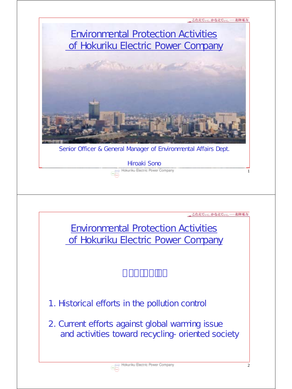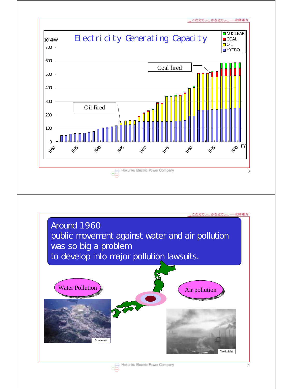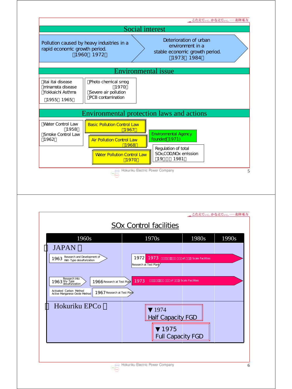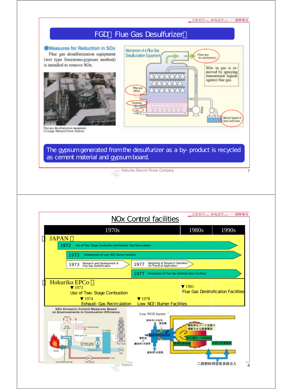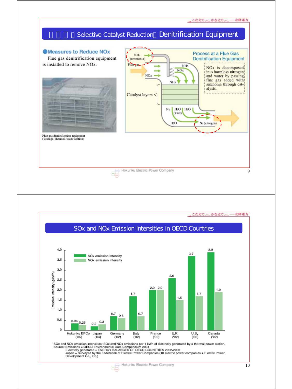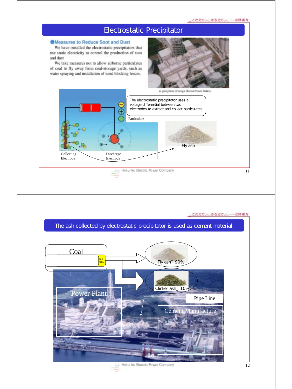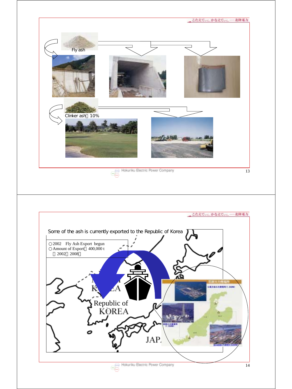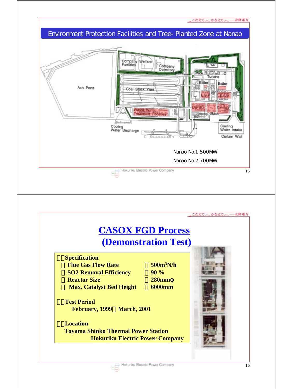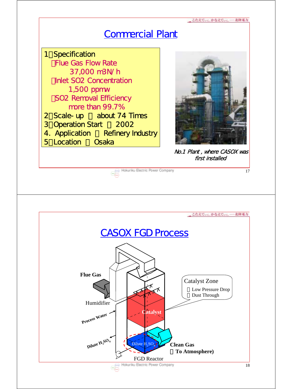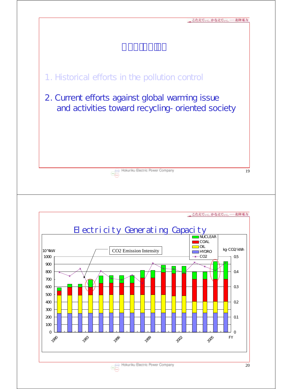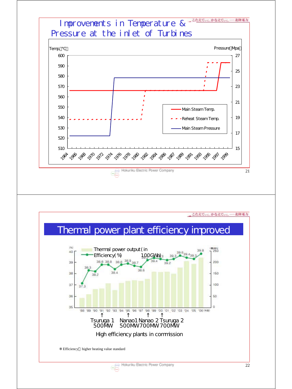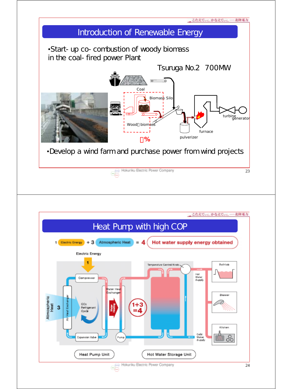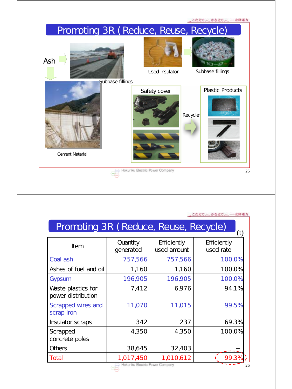

|                                              |                       |                            | こたえていしかなえていし 一北陸電力       |
|----------------------------------------------|-----------------------|----------------------------|--------------------------|
| Promoting 3R (Reduce, Reuse, Recycle)<br>(t) |                       |                            |                          |
| Item                                         | Quantity<br>generated | Efficiently<br>used amount | Efficiently<br>used rate |
| Coal ash                                     | 757,566               | 757,566                    | 100.0%                   |
| Ashes of fuel and oil                        | 1,160                 | 1,160                      | 100.0%                   |
| Gypsum                                       | 196,905               | 196,905                    | 100.0%                   |
| Waste plastics for<br>power distribution     | 7,412                 | 6,976                      | 94.1%                    |
| Scrapped wires and<br>scrap iron             | 11,070                | 11,015                     | 99.5%                    |
| Insulator scraps                             | 342                   | 237                        | 69.3%                    |
| Scrapped<br>concrete poles                   | 4,350                 | 4,350                      | 100.0%                   |
| Others                                       | 38,645                | 32,403                     |                          |
| Total                                        | 1,017,450             | 1,010,612                  | 99.39                    |

26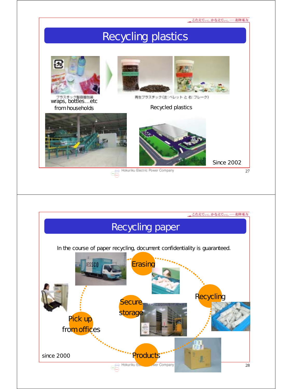